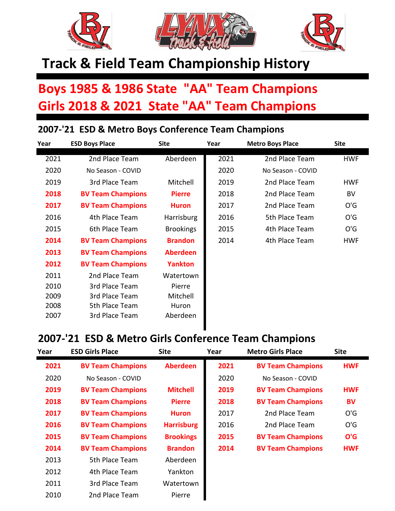

## **Track & Field Team Championship History**

## **Boys 1985 & 1986 State "AA" Team Champions Girls 2018 & 2021 State "AA" Team Champions**

## **2007-'21 ESD & Metro Boys Conference Team Champions**

| Year | <b>ESD Boys Place</b>    | <b>Site</b>      | Year | <b>Metro Boys Place</b> | <b>Site</b> |
|------|--------------------------|------------------|------|-------------------------|-------------|
| 2021 | 2nd Place Team           | Aberdeen         | 2021 | 2nd Place Team          | <b>HWF</b>  |
| 2020 | No Season - COVID        |                  | 2020 | No Season - COVID       |             |
| 2019 | 3rd Place Team           | Mitchell         | 2019 | 2nd Place Team          | <b>HWF</b>  |
| 2018 | <b>BV Team Champions</b> | <b>Pierre</b>    | 2018 | 2nd Place Team          | BV          |
| 2017 | <b>BV Team Champions</b> | <b>Huron</b>     | 2017 | 2nd Place Team          | O'G         |
| 2016 | 4th Place Team           | Harrisburg       | 2016 | 5th Place Team          | O'G         |
| 2015 | 6th Place Team           | <b>Brookings</b> | 2015 | 4th Place Team          | O'G         |
| 2014 | <b>BV Team Champions</b> | <b>Brandon</b>   | 2014 | 4th Place Team          | <b>HWF</b>  |
| 2013 | <b>BV Team Champions</b> | <b>Aberdeen</b>  |      |                         |             |
| 2012 | <b>BV Team Champions</b> | <b>Yankton</b>   |      |                         |             |
| 2011 | 2nd Place Team           | Watertown        |      |                         |             |
| 2010 | 3rd Place Team           | Pierre           |      |                         |             |
| 2009 | 3rd Place Team           | Mitchell         |      |                         |             |
| 2008 | 5th Place Team           | Huron            |      |                         |             |
| 2007 | 3rd Place Team           | Aberdeen         |      |                         |             |

## **2007-'21 ESD & Metro Girls Conference Team Champions**

| Year | <b>ESD Girls Place</b>   | <b>Site</b>       | Year | <b>Metro Girls Place</b> | <b>Site</b> |
|------|--------------------------|-------------------|------|--------------------------|-------------|
| 2021 | <b>BV Team Champions</b> | <b>Aberdeen</b>   | 2021 | <b>BV Team Champions</b> | <b>HWF</b>  |
| 2020 | No Season - COVID        |                   | 2020 | No Season - COVID        |             |
| 2019 | <b>BV Team Champions</b> | <b>Mitchell</b>   | 2019 | <b>BV Team Champions</b> | <b>HWF</b>  |
| 2018 | <b>BV Team Champions</b> | <b>Pierre</b>     | 2018 | <b>BV Team Champions</b> | BV          |
| 2017 | <b>BV Team Champions</b> | <b>Huron</b>      | 2017 | 2nd Place Team           | O'G         |
| 2016 | <b>BV Team Champions</b> | <b>Harrisburg</b> | 2016 | 2nd Place Team           | O'G         |
| 2015 | <b>BV Team Champions</b> | <b>Brookings</b>  | 2015 | <b>BV Team Champions</b> | O'G         |
| 2014 | <b>BV Team Champions</b> | <b>Brandon</b>    | 2014 | <b>BV Team Champions</b> | <b>HWF</b>  |
| 2013 | 5th Place Team           | Aberdeen          |      |                          |             |
| 2012 | 4th Place Team           | Yankton           |      |                          |             |
| 2011 | 3rd Place Team           | Watertown         |      |                          |             |
| 2010 | 2nd Place Team           | <b>Pierre</b>     |      |                          |             |